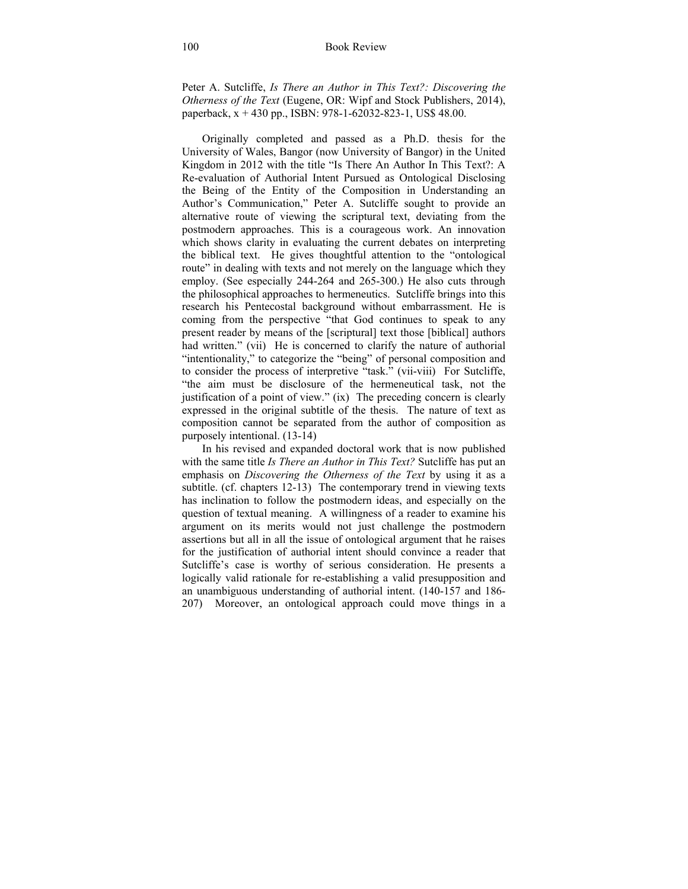Peter A. Sutcliffe, *Is There an Author in This Text?: Discovering the Otherness of the Text* (Eugene, OR: Wipf and Stock Publishers, 2014), paperback, x + 430 pp., ISBN: 978-1-62032-823-1, US\$ 48.00.

Originally completed and passed as a Ph.D. thesis for the University of Wales, Bangor (now University of Bangor) in the United Kingdom in 2012 with the title "Is There An Author In This Text?: A Re-evaluation of Authorial Intent Pursued as Ontological Disclosing the Being of the Entity of the Composition in Understanding an Author's Communication," Peter A. Sutcliffe sought to provide an alternative route of viewing the scriptural text, deviating from the postmodern approaches. This is a courageous work. An innovation which shows clarity in evaluating the current debates on interpreting the biblical text. He gives thoughtful attention to the "ontological route" in dealing with texts and not merely on the language which they employ. (See especially 244-264 and 265-300.) He also cuts through the philosophical approaches to hermeneutics. Sutcliffe brings into this research his Pentecostal background without embarrassment. He is coming from the perspective "that God continues to speak to any present reader by means of the [scriptural] text those [biblical] authors had written." (vii) He is concerned to clarify the nature of authorial "intentionality," to categorize the "being" of personal composition and to consider the process of interpretive "task." (vii-viii) For Sutcliffe, "the aim must be disclosure of the hermeneutical task, not the justification of a point of view." (ix) The preceding concern is clearly expressed in the original subtitle of the thesis. The nature of text as composition cannot be separated from the author of composition as purposely intentional. (13-14)

In his revised and expanded doctoral work that is now published with the same title *Is There an Author in This Text?* Sutcliffe has put an emphasis on *Discovering the Otherness of the Text* by using it as a subtitle. (cf. chapters 12-13) The contemporary trend in viewing texts has inclination to follow the postmodern ideas, and especially on the question of textual meaning. A willingness of a reader to examine his argument on its merits would not just challenge the postmodern assertions but all in all the issue of ontological argument that he raises for the justification of authorial intent should convince a reader that Sutcliffe's case is worthy of serious consideration. He presents a logically valid rationale for re-establishing a valid presupposition and an unambiguous understanding of authorial intent. (140-157 and 186- 207) Moreover, an ontological approach could move things in a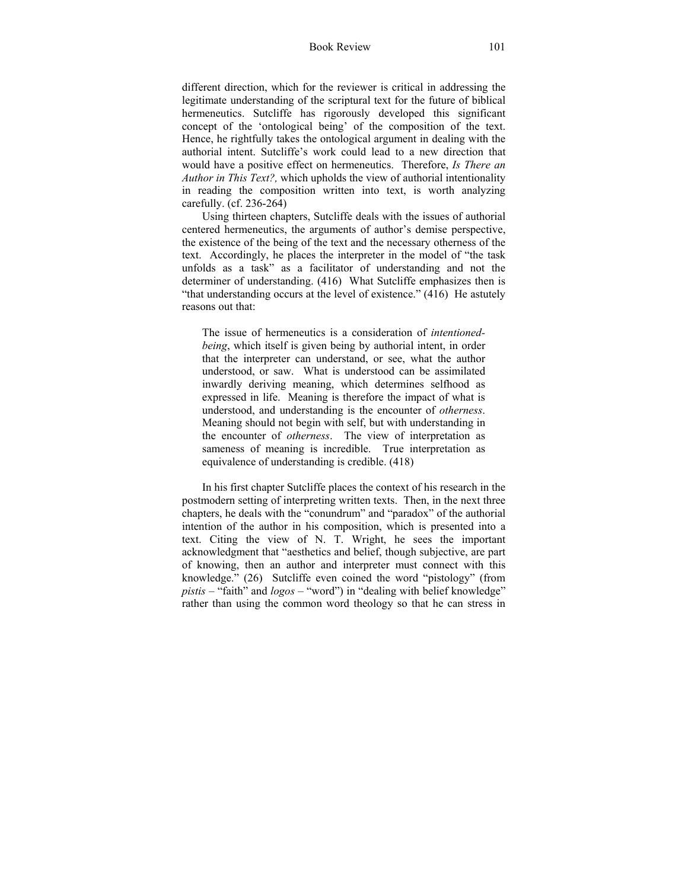different direction, which for the reviewer is critical in addressing the legitimate understanding of the scriptural text for the future of biblical hermeneutics. Sutcliffe has rigorously developed this significant concept of the 'ontological being' of the composition of the text. Hence, he rightfully takes the ontological argument in dealing with the authorial intent. Sutcliffe's work could lead to a new direction that would have a positive effect on hermeneutics. Therefore, *Is There an Author in This Text?,* which upholds the view of authorial intentionality in reading the composition written into text, is worth analyzing carefully. (cf. 236-264)

Using thirteen chapters, Sutcliffe deals with the issues of authorial centered hermeneutics, the arguments of author's demise perspective, the existence of the being of the text and the necessary otherness of the text. Accordingly, he places the interpreter in the model of "the task unfolds as a task" as a facilitator of understanding and not the determiner of understanding. (416) What Sutcliffe emphasizes then is "that understanding occurs at the level of existence." (416) He astutely reasons out that:

The issue of hermeneutics is a consideration of *intentionedbeing*, which itself is given being by authorial intent, in order that the interpreter can understand, or see, what the author understood, or saw. What is understood can be assimilated inwardly deriving meaning, which determines selfhood as expressed in life. Meaning is therefore the impact of what is understood, and understanding is the encounter of *otherness*. Meaning should not begin with self, but with understanding in the encounter of *otherness*. The view of interpretation as sameness of meaning is incredible. True interpretation as equivalence of understanding is credible. (418)

In his first chapter Sutcliffe places the context of his research in the postmodern setting of interpreting written texts. Then, in the next three chapters, he deals with the "conundrum" and "paradox" of the authorial intention of the author in his composition, which is presented into a text. Citing the view of N. T. Wright, he sees the important acknowledgment that "aesthetics and belief, though subjective, are part of knowing, then an author and interpreter must connect with this knowledge." (26) Sutcliffe even coined the word "pistology" (from *pistis* – "faith" and *logos* – "word") in "dealing with belief knowledge" rather than using the common word theology so that he can stress in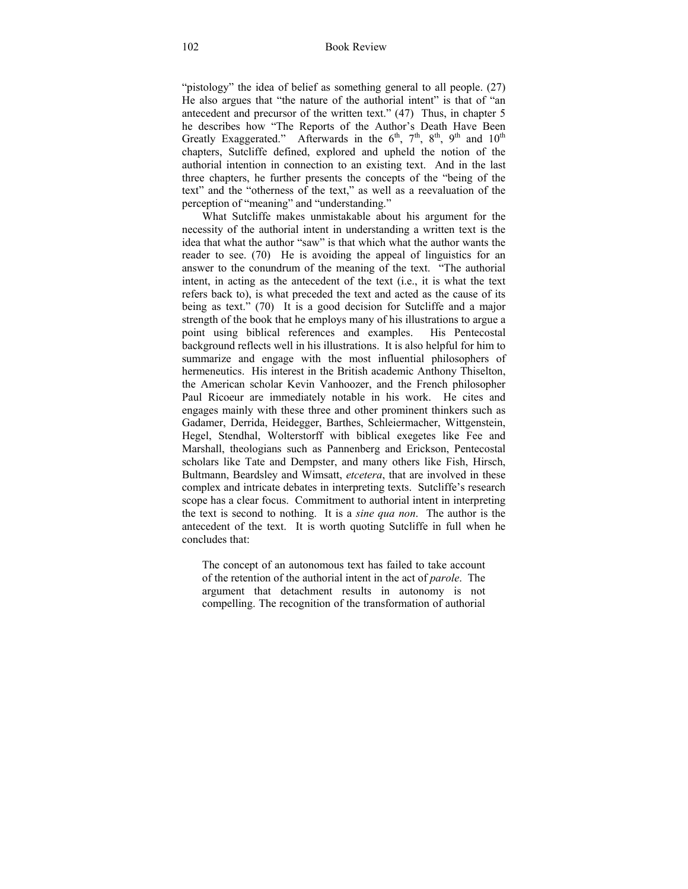"pistology" the idea of belief as something general to all people. (27) He also argues that "the nature of the authorial intent" is that of "an antecedent and precursor of the written text." (47) Thus, in chapter 5 he describes how "The Reports of the Author's Death Have Been Greatly Exaggerated." Afterwards in the  $6<sup>th</sup>$ ,  $7<sup>th</sup>$ ,  $8<sup>th</sup>$ ,  $9<sup>th</sup>$  and  $10<sup>th</sup>$ chapters, Sutcliffe defined, explored and upheld the notion of the authorial intention in connection to an existing text. And in the last three chapters, he further presents the concepts of the "being of the text" and the "otherness of the text," as well as a reevaluation of the perception of "meaning" and "understanding."

 What Sutcliffe makes unmistakable about his argument for the necessity of the authorial intent in understanding a written text is the idea that what the author "saw" is that which what the author wants the reader to see. (70) He is avoiding the appeal of linguistics for an answer to the conundrum of the meaning of the text. "The authorial intent, in acting as the antecedent of the text (i.e., it is what the text refers back to), is what preceded the text and acted as the cause of its being as text." (70) It is a good decision for Sutcliffe and a major strength of the book that he employs many of his illustrations to argue a point using biblical references and examples. His Pentecostal background reflects well in his illustrations. It is also helpful for him to summarize and engage with the most influential philosophers of hermeneutics. His interest in the British academic Anthony Thiselton, the American scholar Kevin Vanhoozer, and the French philosopher Paul Ricoeur are immediately notable in his work. He cites and engages mainly with these three and other prominent thinkers such as Gadamer, Derrida, Heidegger, Barthes, Schleiermacher, Wittgenstein, Hegel, Stendhal, Wolterstorff with biblical exegetes like Fee and Marshall, theologians such as Pannenberg and Erickson, Pentecostal scholars like Tate and Dempster, and many others like Fish, Hirsch, Bultmann, Beardsley and Wimsatt, *etcetera*, that are involved in these complex and intricate debates in interpreting texts. Sutcliffe's research scope has a clear focus. Commitment to authorial intent in interpreting the text is second to nothing. It is a *sine qua non*. The author is the antecedent of the text. It is worth quoting Sutcliffe in full when he concludes that:

The concept of an autonomous text has failed to take account of the retention of the authorial intent in the act of *parole*. The argument that detachment results in autonomy is not compelling. The recognition of the transformation of authorial